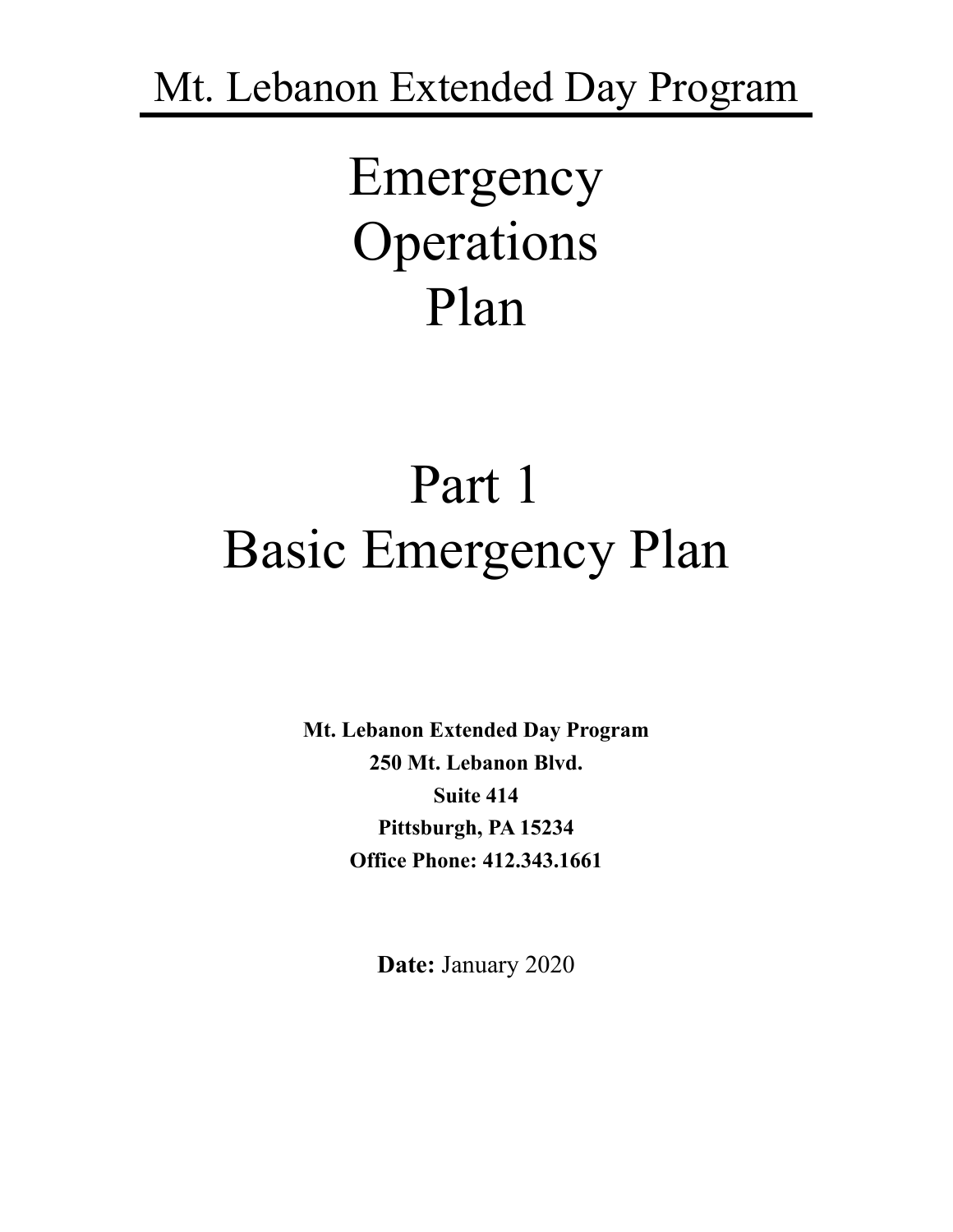Mt. Lebanon Extended Day Program

# Emergency Operations Plan

# Part 1 Basic Emergency Plan

**Mt. Lebanon Extended Day Program 250 Mt. Lebanon Blvd. Suite 414 Pittsburgh, PA 15234 Office Phone: 412.343.1661**

**Date:** January 2020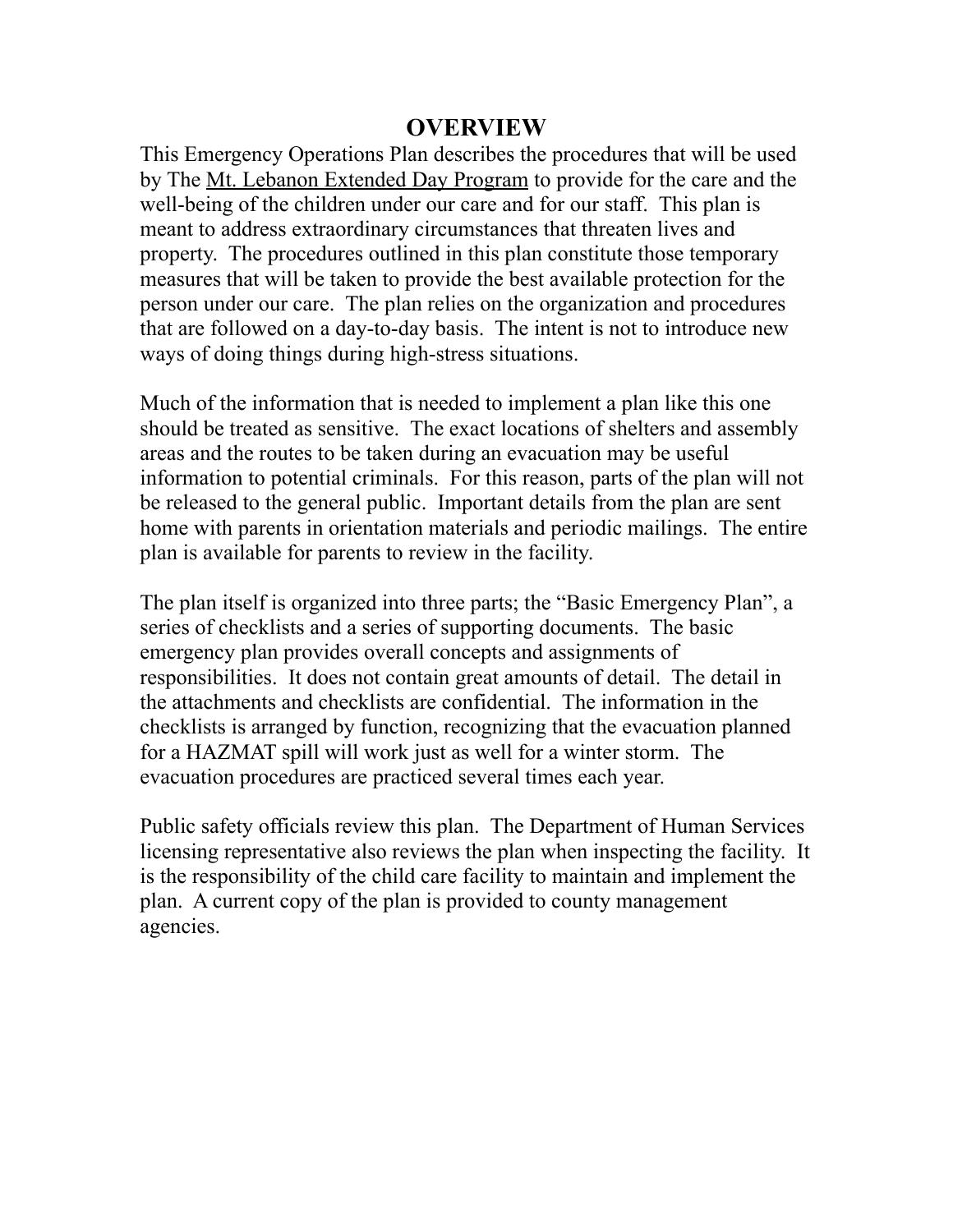#### **OVERVIEW**

This Emergency Operations Plan describes the procedures that will be used by The Mt. Lebanon Extended Day Program to provide for the care and the well-being of the children under our care and for our staff. This plan is meant to address extraordinary circumstances that threaten lives and property. The procedures outlined in this plan constitute those temporary measures that will be taken to provide the best available protection for the person under our care. The plan relies on the organization and procedures that are followed on a day-to-day basis. The intent is not to introduce new ways of doing things during high-stress situations.

Much of the information that is needed to implement a plan like this one should be treated as sensitive. The exact locations of shelters and assembly areas and the routes to be taken during an evacuation may be useful information to potential criminals. For this reason, parts of the plan will not be released to the general public. Important details from the plan are sent home with parents in orientation materials and periodic mailings. The entire plan is available for parents to review in the facility.

The plan itself is organized into three parts; the "Basic Emergency Plan", a series of checklists and a series of supporting documents. The basic emergency plan provides overall concepts and assignments of responsibilities. It does not contain great amounts of detail. The detail in the attachments and checklists are confidential. The information in the checklists is arranged by function, recognizing that the evacuation planned for a HAZMAT spill will work just as well for a winter storm. The evacuation procedures are practiced several times each year.

Public safety officials review this plan. The Department of Human Services licensing representative also reviews the plan when inspecting the facility. It is the responsibility of the child care facility to maintain and implement the plan. A current copy of the plan is provided to county management agencies.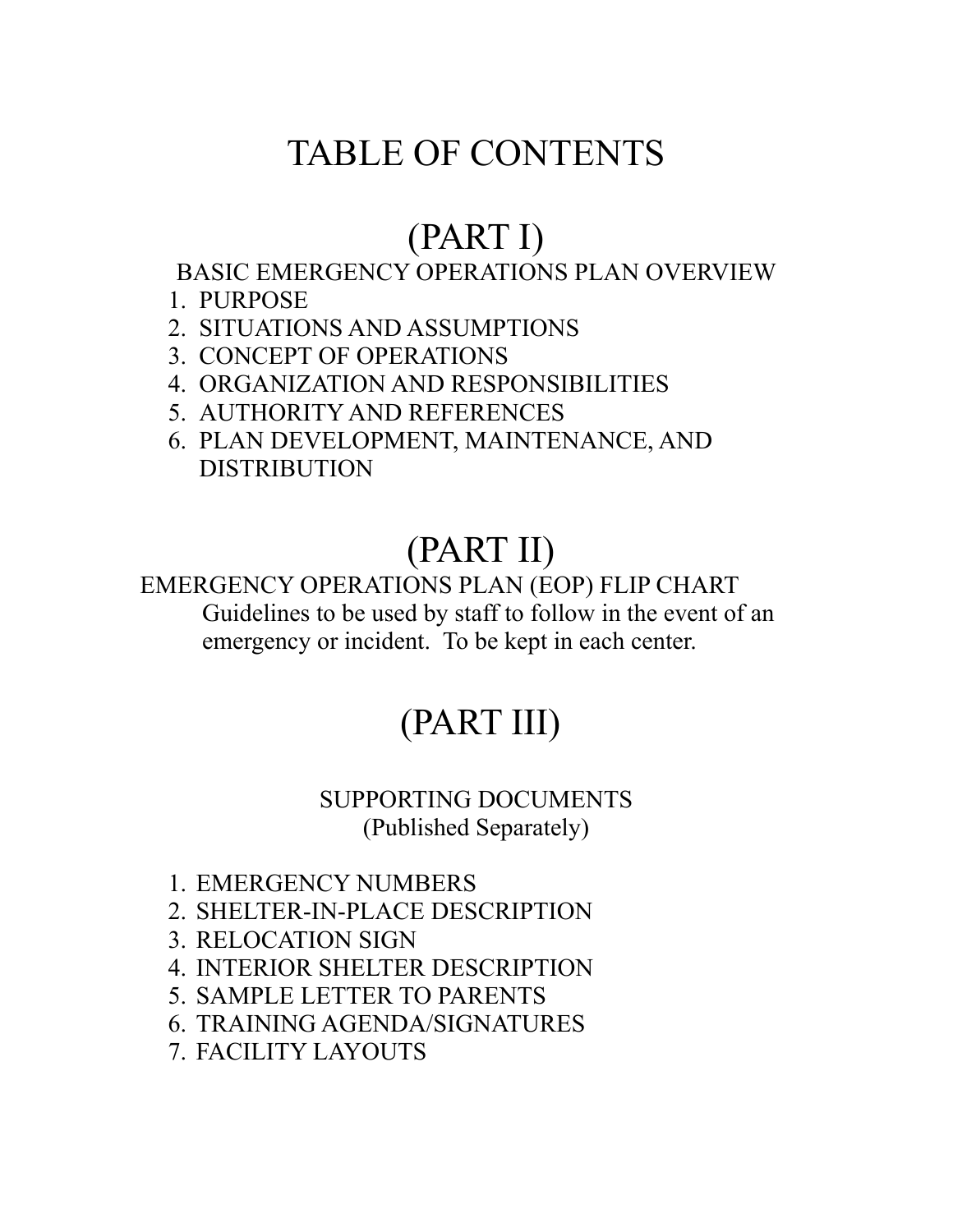# TABLE OF CONTENTS

# (PART I)

# BASIC EMERGENCY OPERATIONS PLAN OVERVIEW

- 1. PURPOSE
- 2. SITUATIONS AND ASSUMPTIONS
- 3. CONCEPT OF OPERATIONS
- 4. ORGANIZATION AND RESPONSIBILITIES
- 5. AUTHORITY AND REFERENCES
- 6. PLAN DEVELOPMENT, MAINTENANCE, AND **DISTRIBUTION**

# (PART II)

### EMERGENCY OPERATIONS PLAN (EOP) FLIP CHART Guidelines to be used by staff to follow in the event of an emergency or incident. To be kept in each center.

# (PART III)

### SUPPORTING DOCUMENTS (Published Separately)

- 1. EMERGENCY NUMBERS
- 2. SHELTER-IN-PLACE DESCRIPTION
- 3. RELOCATION SIGN
- 4. INTERIOR SHELTER DESCRIPTION
- 5. SAMPLE LETTER TO PARENTS
- 6. TRAINING AGENDA/SIGNATURES
- 7. FACILITY LAYOUTS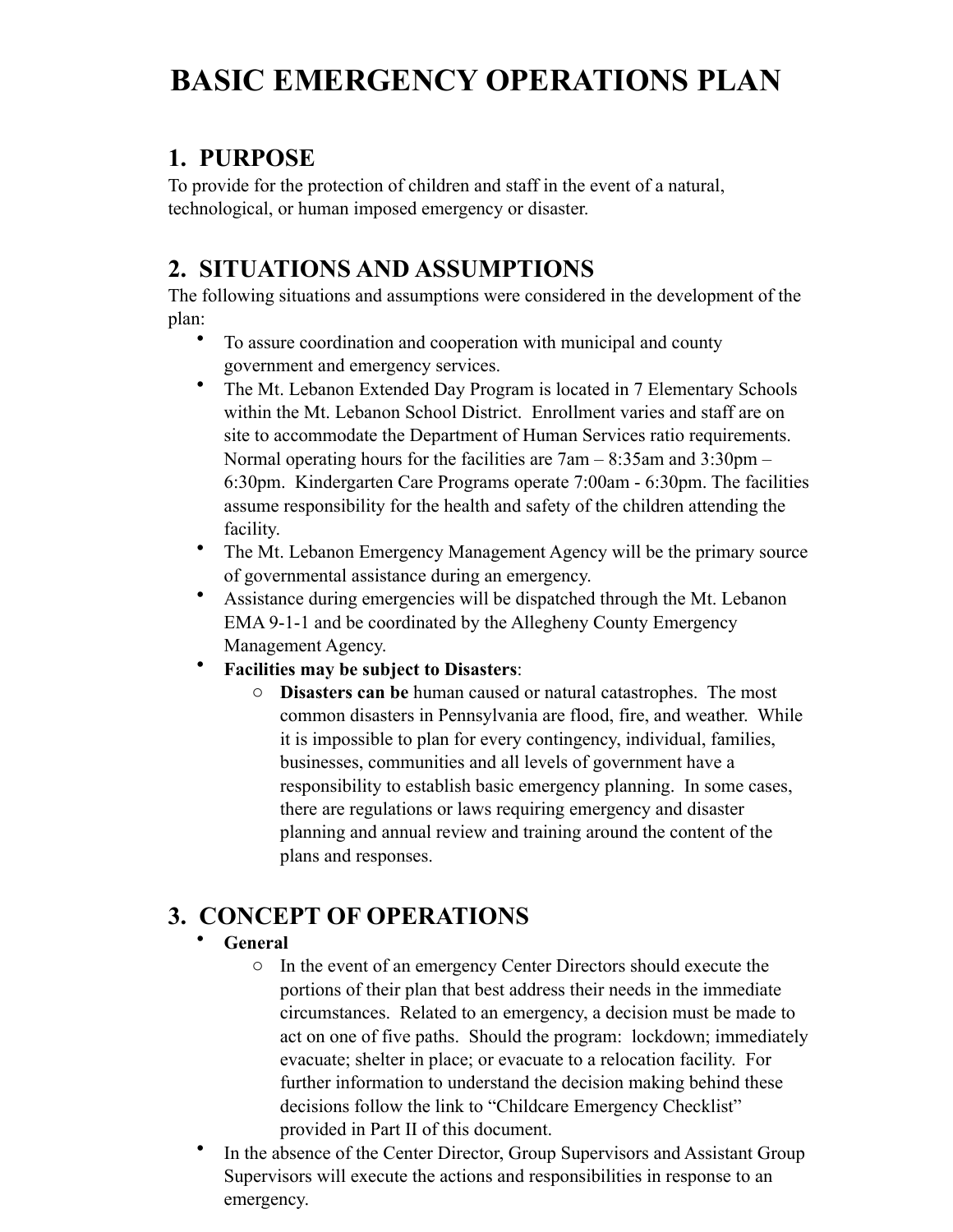# **BASIC EMERGENCY OPERATIONS PLAN**

## **1. PURPOSE**

To provide for the protection of children and staff in the event of a natural, technological, or human imposed emergency or disaster.

## **2. SITUATIONS AND ASSUMPTIONS**

The following situations and assumptions were considered in the development of the plan:

- To assure coordination and cooperation with municipal and county government and emergency services.
- The Mt. Lebanon Extended Day Program is located in 7 Elementary Schools within the Mt. Lebanon School District. Enrollment varies and staff are on site to accommodate the Department of Human Services ratio requirements. Normal operating hours for the facilities are 7am – 8:35am and 3:30pm – 6:30pm. Kindergarten Care Programs operate 7:00am - 6:30pm. The facilities assume responsibility for the health and safety of the children attending the facility.
- The Mt. Lebanon Emergency Management Agency will be the primary source of governmental assistance during an emergency.
- Assistance during emergencies will be dispatched through the Mt. Lebanon EMA 9-1-1 and be coordinated by the Allegheny County Emergency Management Agency.
- **Facilities may be subject to Disasters**:
	- o **Disasters can be** human caused or natural catastrophes. The most common disasters in Pennsylvania are flood, fire, and weather. While it is impossible to plan for every contingency, individual, families, businesses, communities and all levels of government have a responsibility to establish basic emergency planning. In some cases, there are regulations or laws requiring emergency and disaster planning and annual review and training around the content of the plans and responses.

# **3. CONCEPT OF OPERATIONS**

#### • **General**

- o In the event of an emergency Center Directors should execute the portions of their plan that best address their needs in the immediate circumstances. Related to an emergency, a decision must be made to act on one of five paths. Should the program: lockdown; immediately evacuate; shelter in place; or evacuate to a relocation facility. For further information to understand the decision making behind these decisions follow the link to "Childcare Emergency Checklist" provided in Part II of this document.
- In the absence of the Center Director, Group Supervisors and Assistant Group Supervisors will execute the actions and responsibilities in response to an emergency.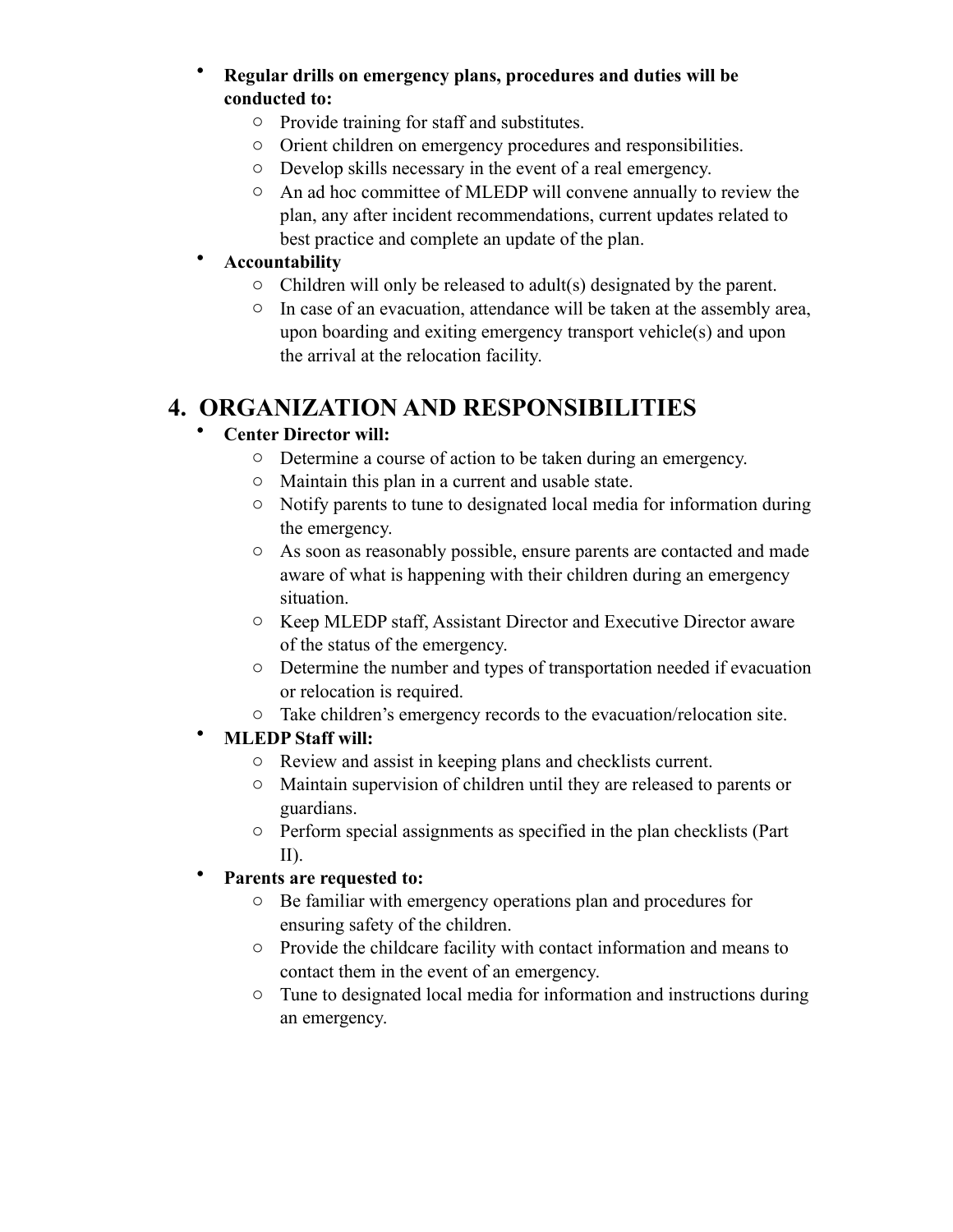#### • **Regular drills on emergency plans, procedures and duties will be conducted to:**

- o Provide training for staff and substitutes.
- o Orient children on emergency procedures and responsibilities.
- o Develop skills necessary in the event of a real emergency.
- o An ad hoc committee of MLEDP will convene annually to review the plan, any after incident recommendations, current updates related to best practice and complete an update of the plan.

#### • **Accountability**

- o Children will only be released to adult(s) designated by the parent.
- o In case of an evacuation, attendance will be taken at the assembly area, upon boarding and exiting emergency transport vehicle(s) and upon the arrival at the relocation facility.

### **4. ORGANIZATION AND RESPONSIBILITIES**

#### • **Center Director will:**

- o Determine a course of action to be taken during an emergency.
- o Maintain this plan in a current and usable state.
- o Notify parents to tune to designated local media for information during the emergency.
- o As soon as reasonably possible, ensure parents are contacted and made aware of what is happening with their children during an emergency situation.
- o Keep MLEDP staff, Assistant Director and Executive Director aware of the status of the emergency.
- o Determine the number and types of transportation needed if evacuation or relocation is required.
- o Take children's emergency records to the evacuation/relocation site.

#### • **MLEDP Staff will:**

- o Review and assist in keeping plans and checklists current.
- o Maintain supervision of children until they are released to parents or guardians.
- o Perform special assignments as specified in the plan checklists (Part II).

#### • **Parents are requested to:**

- o Be familiar with emergency operations plan and procedures for ensuring safety of the children.
- o Provide the childcare facility with contact information and means to contact them in the event of an emergency.
- o Tune to designated local media for information and instructions during an emergency.